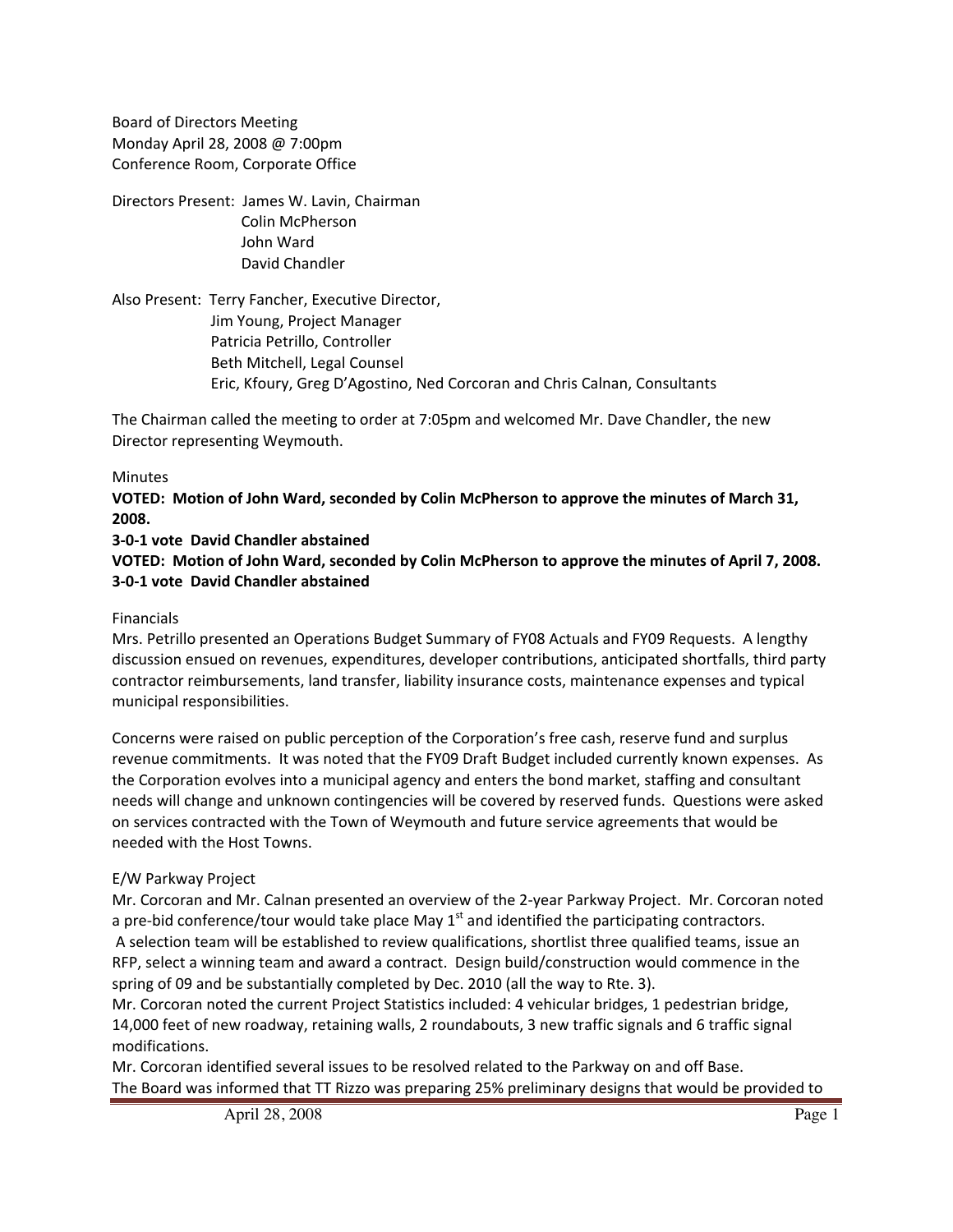Board of Directors Meeting Monday April 28, 2008 @ 7:00pm Conference Room, Corporate Office

Directors Present: James W. Lavin, Chairman Colin McPherson John Ward David Chandler

Also Present: Terry Fancher, Executive Director, Jim Young, Project Manager Patricia Petrillo, Controller Beth Mitchell, Legal Counsel Eric, Kfoury, Greg D'Agostino, Ned Corcoran and Chris Calnan, Consultants

The Chairman called the meeting to order at 7:05pm and welcomed Mr. Dave Chandler, the new Director representing Weymouth.

#### Minutes

**VOTED: Motion of John Ward, seconded by Colin McPherson to approve the minutes of March 31, 2008.**

**3‐0‐1 vote David Chandler abstained**

**VOTED: Motion of John Ward, seconded by Colin McPherson to approve the minutes of April 7, 2008. 3‐0‐1 vote David Chandler abstained**

#### Financials

Mrs. Petrillo presented an Operations Budget Summary of FY08 Actuals and FY09 Requests. A lengthy discussion ensued on revenues, expenditures, developer contributions, anticipated shortfalls, third party contractor reimbursements, land transfer, liability insurance costs, maintenance expenses and typical municipal responsibilities.

Concerns were raised on public perception of the Corporation's free cash, reserve fund and surplus revenue commitments. It was noted that the FY09 Draft Budget included currently known expenses. As the Corporation evolves into a municipal agency and enters the bond market, staffing and consultant needs will change and unknown contingencies will be covered by reserved funds. Questions were asked on services contracted with the Town of Weymouth and future service agreements that would be needed with the Host Towns.

## E/W Parkway Project

Mr. Corcoran and Mr. Calnan presented an overview of the 2‐year Parkway Project. Mr. Corcoran noted a pre-bid conference/tour would take place May  $1<sup>st</sup>$  and identified the participating contractors. A selection team will be established to review qualifications, shortlist three qualified teams, issue an RFP, select a winning team and award a contract. Design build/construction would commence in the spring of 09 and be substantially completed by Dec. 2010 (all the way to Rte. 3).

Mr. Corcoran noted the current Project Statistics included: 4 vehicular bridges, 1 pedestrian bridge, 14,000 feet of new roadway, retaining walls, 2 roundabouts, 3 new traffic signals and 6 traffic signal modifications.

Mr. Corcoran identified several issues to be resolved related to the Parkway on and off Base. The Board was informed that TT Rizzo was preparing 25% preliminary designs that would be provided to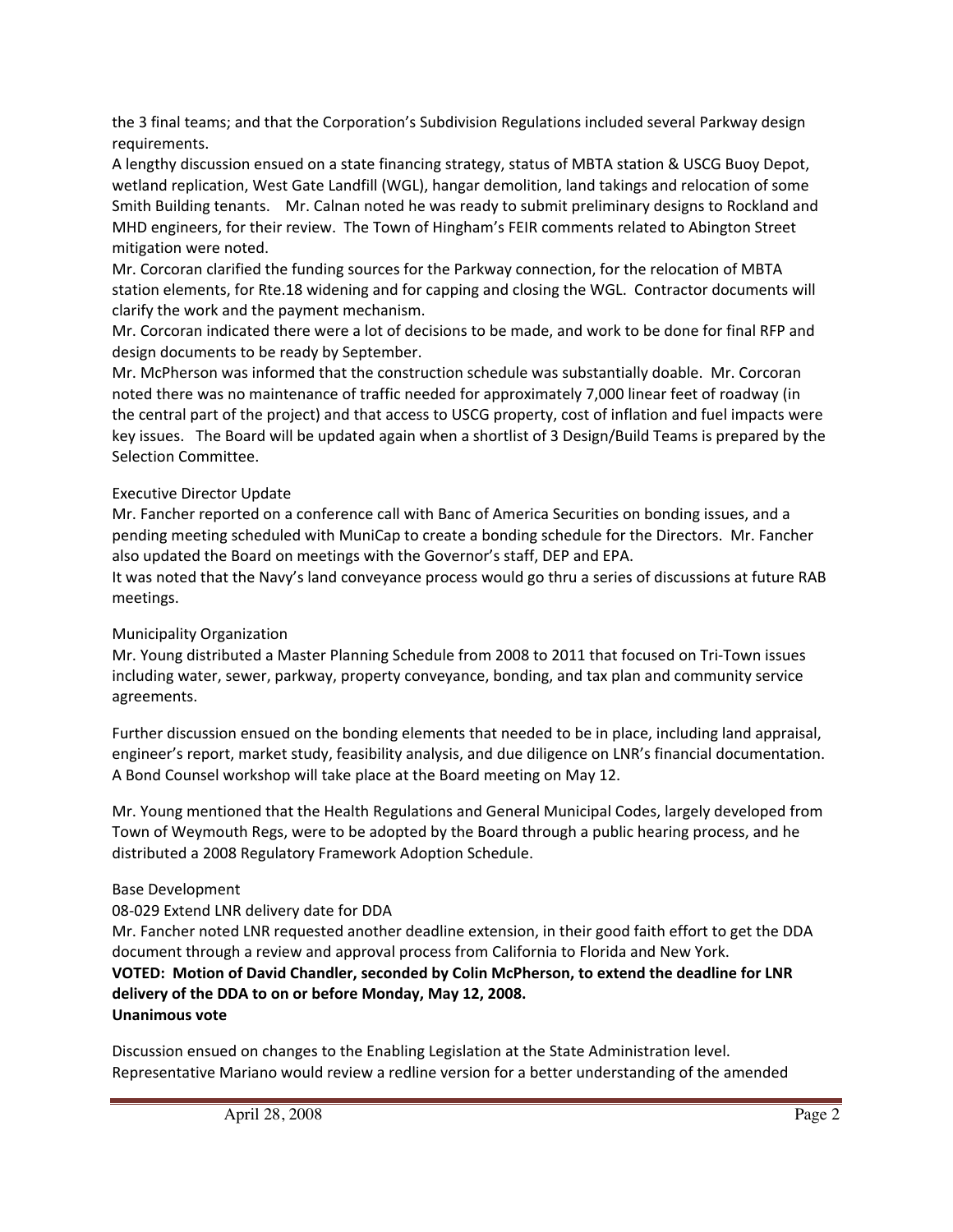the 3 final teams; and that the Corporation's Subdivision Regulations included several Parkway design requirements.

A lengthy discussion ensued on a state financing strategy, status of MBTA station & USCG Buoy Depot, wetland replication, West Gate Landfill (WGL), hangar demolition, land takings and relocation of some Smith Building tenants. Mr. Calnan noted he was ready to submit preliminary designs to Rockland and MHD engineers, for their review. The Town of Hingham's FEIR comments related to Abington Street mitigation were noted.

Mr. Corcoran clarified the funding sources for the Parkway connection, for the relocation of MBTA station elements, for Rte.18 widening and for capping and closing the WGL. Contractor documents will clarify the work and the payment mechanism.

Mr. Corcoran indicated there were a lot of decisions to be made, and work to be done for final RFP and design documents to be ready by September.

Mr. McPherson was informed that the construction schedule was substantially doable. Mr. Corcoran noted there was no maintenance of traffic needed for approximately 7,000 linear feet of roadway (in the central part of the project) and that access to USCG property, cost of inflation and fuel impacts were key issues. The Board will be updated again when a shortlist of 3 Design/Build Teams is prepared by the Selection Committee.

## Executive Director Update

Mr. Fancher reported on a conference call with Banc of America Securities on bonding issues, and a pending meeting scheduled with MuniCap to create a bonding schedule for the Directors. Mr. Fancher also updated the Board on meetings with the Governor's staff, DEP and EPA.

It was noted that the Navy's land conveyance process would go thru a series of discussions at future RAB meetings.

# Municipality Organization

Mr. Young distributed a Master Planning Schedule from 2008 to 2011 that focused on Tri‐Town issues including water, sewer, parkway, property conveyance, bonding, and tax plan and community service agreements.

Further discussion ensued on the bonding elements that needed to be in place, including land appraisal, engineer's report, market study, feasibility analysis, and due diligence on LNR's financial documentation. A Bond Counsel workshop will take place at the Board meeting on May 12.

Mr. Young mentioned that the Health Regulations and General Municipal Codes, largely developed from Town of Weymouth Regs, were to be adopted by the Board through a public hearing process, and he distributed a 2008 Regulatory Framework Adoption Schedule.

## Base Development

08‐029 Extend LNR delivery date for DDA

Mr. Fancher noted LNR requested another deadline extension, in their good faith effort to get the DDA document through a review and approval process from California to Florida and New York. **VOTED: Motion of David Chandler, seconded by Colin McPherson, to extend the deadline for LNR delivery of the DDA to on or before Monday, May 12, 2008. Unanimous vote**

Discussion ensued on changes to the Enabling Legislation at the State Administration level. Representative Mariano would review a redline version for a better understanding of the amended